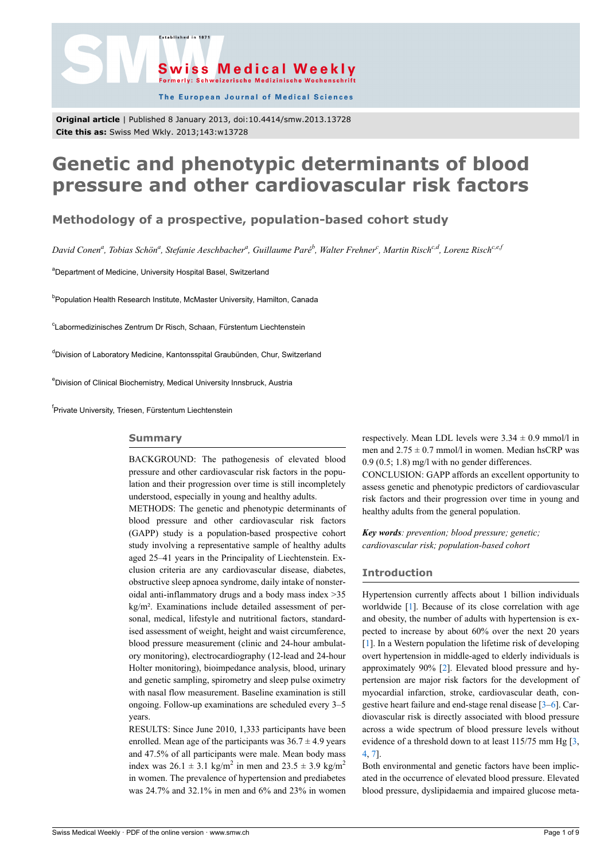

The European Journal of Medical Sciences

**Original article** | Published 8 January 2013, doi:10.4414/smw.2013.13728 **Cite this as:** Swiss Med Wkly. 2013;143:w13728

.<br>Established in 187

# **Genetic and phenotypic determinants of blood pressure and other cardiovascular risk factors**

### **Methodology of a prospective, population-based cohort study**

*David Conen<sup>a</sup> , Tobias Schön<sup>a</sup> , Stefanie Aeschbacher<sup>a</sup> , Guillaume Paré<sup>b</sup> , Walter Frehner<sup>c</sup> , Martin Rischc,d, Lorenz Rischc,e,f*

<sup>a</sup>Department of Medicine, University Hospital Basel, Switzerland

<sup>b</sup>Population Health Research Institute, McMaster University, Hamilton, Canada

<sup>c</sup>Labormedizinisches Zentrum Dr Risch, Schaan, Fürstentum Liechtenstein

<sup>d</sup>Division of Laboratory Medicine, Kantonsspital Graubünden, Chur, Switzerland

<sup>e</sup>Division of Clinical Biochemistry, Medical University Innsbruck, Austria

<sup>f</sup>Private University, Triesen, Fürstentum Liechtenstein

#### **Summary**

BACKGROUND: The pathogenesis of elevated blood pressure and other cardiovascular risk factors in the population and their progression over time is still incompletely understood, especially in young and healthy adults.

METHODS: The genetic and phenotypic determinants of blood pressure and other cardiovascular risk factors (GAPP) study is a population-based prospective cohort study involving a representative sample of healthy adults aged 25–41 years in the Principality of Liechtenstein. Exclusion criteria are any cardiovascular disease, diabetes, obstructive sleep apnoea syndrome, daily intake of nonsteroidal anti-inflammatory drugs and a body mass index >35 kg/m². Examinations include detailed assessment of personal, medical, lifestyle and nutritional factors, standardised assessment of weight, height and waist circumference, blood pressure measurement (clinic and 24-hour ambulatory monitoring), electrocardiography (12-lead and 24-hour Holter monitoring), bioimpedance analysis, blood, urinary and genetic sampling, spirometry and sleep pulse oximetry with nasal flow measurement. Baseline examination is still ongoing. Follow-up examinations are scheduled every 3–5 years.

RESULTS: Since June 2010, 1,333 participants have been enrolled. Mean age of the participants was  $36.7 \pm 4.9$  years and 47.5% of all participants were male. Mean body mass index was  $26.1 \pm 3.1$  kg/m<sup>2</sup> in men and  $23.5 \pm 3.9$  kg/m<sup>2</sup> in women. The prevalence of hypertension and prediabetes was 24.7% and 32.1% in men and 6% and 23% in women

respectively. Mean LDL levels were  $3.34 \pm 0.9$  mmol/l in men and  $2.75 \pm 0.7$  mmol/l in women. Median hsCRP was 0.9 (0.5; 1.8) mg/l with no gender differences.

CONCLUSION: GAPP affords an excellent opportunity to assess genetic and phenotypic predictors of cardiovascular risk factors and their progression over time in young and healthy adults from the general population.

*Key words: prevention; blood pressure; genetic; cardiovascular risk; population-based cohort*

#### **Introduction**

Hypertension currently affects about 1 billion individuals worldwide [[1](#page-5-0)]. Because of its close correlation with age and obesity, the number of adults with hypertension is expected to increase by about 60% over the next 20 years [[1](#page-5-0)]. In a Western population the lifetime risk of developing overt hypertension in middle-aged to elderly individuals is approximately 90% [[2](#page-5-1)]. Elevated blood pressure and hypertension are major risk factors for the development of myocardial infarction, stroke, cardiovascular death, congestive heart failure and end-stage renal disease [\[3–](#page-6-0)[6\]](#page-6-1). Cardiovascular risk is directly associated with blood pressure across a wide spectrum of blood pressure levels without evidence of a threshold down to at least 115/75 mm Hg [\[3,](#page-6-0) [4](#page-6-2), [7](#page-6-3)].

Both environmental and genetic factors have been implicated in the occurrence of elevated blood pressure. Elevated blood pressure, dyslipidaemia and impaired glucose meta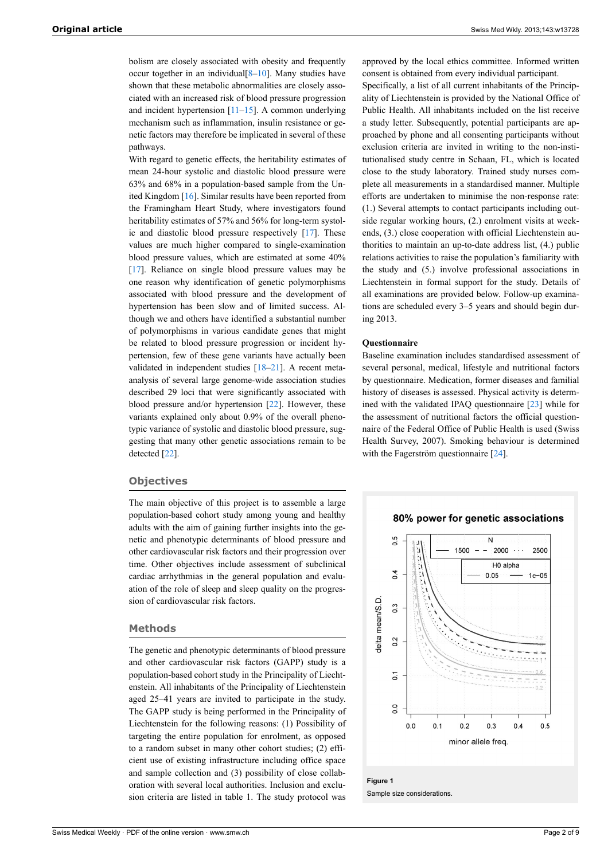bolism are closely associated with obesity and frequently occur together in an individual $[8-10]$  $[8-10]$  $[8-10]$  $[8-10]$ . Many studies have shown that these metabolic abnormalities are closely associated with an increased risk of blood pressure progression and incident hypertension  $[11–15]$  $[11–15]$  $[11–15]$  $[11–15]$ . A common underlying mechanism such as inflammation, insulin resistance or genetic factors may therefore be implicated in several of these pathways.

With regard to genetic effects, the heritability estimates of mean 24-hour systolic and diastolic blood pressure were 63% and 68% in a population-based sample from the United Kingdom [[16\]](#page-6-8). Similar results have been reported from the Framingham Heart Study, where investigators found heritability estimates of 57% and 56% for long-term systolic and diastolic blood pressure respectively [\[17](#page-6-9)]. These values are much higher compared to single-examination blood pressure values, which are estimated at some 40% [\[17](#page-6-9)]. Reliance on single blood pressure values may be one reason why identification of genetic polymorphisms associated with blood pressure and the development of hypertension has been slow and of limited success. Although we and others have identified a substantial number of polymorphisms in various candidate genes that might be related to blood pressure progression or incident hypertension, few of these gene variants have actually been validated in independent studies [[18–](#page-6-10)[21](#page-6-11)]. A recent metaanalysis of several large genome-wide association studies described 29 loci that were significantly associated with blood pressure and/or hypertension [[22\]](#page-6-12). However, these variants explained only about 0.9% of the overall phenotypic variance of systolic and diastolic blood pressure, suggesting that many other genetic associations remain to be detected [\[22](#page-6-12)].

#### **Objectives**

The main objective of this project is to assemble a large population-based cohort study among young and healthy adults with the aim of gaining further insights into the genetic and phenotypic determinants of blood pressure and other cardiovascular risk factors and their progression over time. Other objectives include assessment of subclinical cardiac arrhythmias in the general population and evaluation of the role of sleep and sleep quality on the progression of cardiovascular risk factors.

#### **Methods**

The genetic and phenotypic determinants of blood pressure and other cardiovascular risk factors (GAPP) study is a population-based cohort study in the Principality of Liechtenstein. All inhabitants of the Principality of Liechtenstein aged 25–41 years are invited to participate in the study. The GAPP study is being performed in the Principality of Liechtenstein for the following reasons: (1) Possibility of targeting the entire population for enrolment, as opposed to a random subset in many other cohort studies; (2) efficient use of existing infrastructure including office space and sample collection and (3) possibility of close collaboration with several local authorities. Inclusion and exclusion criteria are listed in table 1. The study protocol was

approved by the local ethics committee. Informed written consent is obtained from every individual participant.

Specifically, a list of all current inhabitants of the Principality of Liechtenstein is provided by the National Office of Public Health. All inhabitants included on the list receive a study letter. Subsequently, potential participants are approached by phone and all consenting participants without exclusion criteria are invited in writing to the non-institutionalised study centre in Schaan, FL, which is located close to the study laboratory. Trained study nurses complete all measurements in a standardised manner. Multiple efforts are undertaken to minimise the non-response rate: (1.) Several attempts to contact participants including outside regular working hours, (2.) enrolment visits at weekends, (3.) close cooperation with official Liechtenstein authorities to maintain an up-to-date address list, (4.) public relations activities to raise the population's familiarity with the study and (5.) involve professional associations in Liechtenstein in formal support for the study. Details of all examinations are provided below. Follow-up examinations are scheduled every 3–5 years and should begin during 2013.

#### **Questionnaire**

Baseline examination includes standardised assessment of several personal, medical, lifestyle and nutritional factors by questionnaire. Medication, former diseases and familial history of diseases is assessed. Physical activity is determined with the validated IPAQ questionnaire [[23\]](#page-6-13) while for the assessment of nutritional factors the official questionnaire of the Federal Office of Public Health is used (Swiss Health Survey, 2007). Smoking behaviour is determined with the Fagerström questionnaire [[24](#page-6-14)].

#### 80% power for genetic associations



## **Figure 1**

Sample size considerations.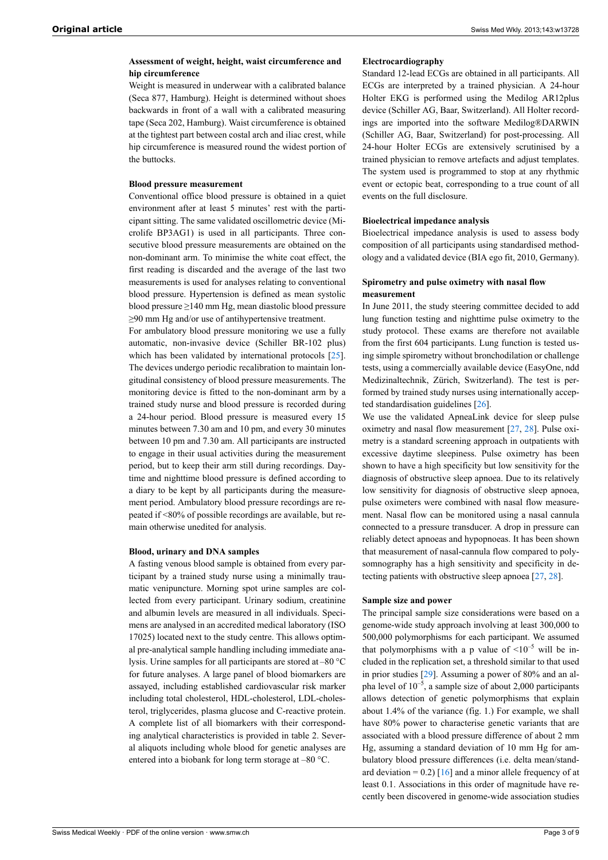#### **Assessment of weight, height, waist circumference and hip circumference**

Weight is measured in underwear with a calibrated balance (Seca 877, Hamburg). Height is determined without shoes backwards in front of a wall with a calibrated measuring tape (Seca 202, Hamburg). Waist circumference is obtained at the tightest part between costal arch and iliac crest, while hip circumference is measured round the widest portion of the buttocks.

#### **Blood pressure measurement**

Conventional office blood pressure is obtained in a quiet environment after at least 5 minutes' rest with the participant sitting. The same validated oscillometric device (Microlife BP3AG1) is used in all participants. Three consecutive blood pressure measurements are obtained on the non-dominant arm. To minimise the white coat effect, the first reading is discarded and the average of the last two measurements is used for analyses relating to conventional blood pressure. Hypertension is defined as mean systolic blood pressure ≥140 mm Hg, mean diastolic blood pressure ≥90 mm Hg and/or use of antihypertensive treatment.

For ambulatory blood pressure monitoring we use a fully automatic, non-invasive device (Schiller BR-102 plus) which has been validated by international protocols [\[25](#page-6-15)]. The devices undergo periodic recalibration to maintain longitudinal consistency of blood pressure measurements. The monitoring device is fitted to the non-dominant arm by a trained study nurse and blood pressure is recorded during a 24-hour period. Blood pressure is measured every 15 minutes between 7.30 am and 10 pm, and every 30 minutes between 10 pm and 7.30 am. All participants are instructed to engage in their usual activities during the measurement period, but to keep their arm still during recordings. Daytime and nighttime blood pressure is defined according to a diary to be kept by all participants during the measurement period. Ambulatory blood pressure recordings are repeated if <80% of possible recordings are available, but remain otherwise unedited for analysis.

#### **Blood, urinary and DNA samples**

A fasting venous blood sample is obtained from every participant by a trained study nurse using a minimally traumatic venipuncture. Morning spot urine samples are collected from every participant. Urinary sodium, creatinine and albumin levels are measured in all individuals. Specimens are analysed in an accredited medical laboratory (ISO 17025) located next to the study centre. This allows optimal pre-analytical sample handling including immediate analysis. Urine samples for all participants are stored at –80 °C for future analyses. A large panel of blood biomarkers are assayed, including established cardiovascular risk marker including total cholesterol, HDL-cholesterol, LDL-cholesterol, triglycerides, plasma glucose and C-reactive protein. A complete list of all biomarkers with their corresponding analytical characteristics is provided in table 2. Several aliquots including whole blood for genetic analyses are entered into a biobank for long term storage at –80 °C.

#### **Electrocardiography**

Standard 12-lead ECGs are obtained in all participants. All ECGs are interpreted by a trained physician. A 24-hour Holter EKG is performed using the Medilog AR12plus device (Schiller AG, Baar, Switzerland). All Holter recordings are imported into the software Medilog®DARWIN (Schiller AG, Baar, Switzerland) for post-processing. All 24-hour Holter ECGs are extensively scrutinised by a trained physician to remove artefacts and adjust templates. The system used is programmed to stop at any rhythmic event or ectopic beat, corresponding to a true count of all events on the full disclosure.

#### **Bioelectrical impedance analysis**

Bioelectrical impedance analysis is used to assess body composition of all participants using standardised methodology and a validated device (BIA ego fit, 2010, Germany).

#### **Spirometry and pulse oximetry with nasal flow measurement**

In June 2011, the study steering committee decided to add lung function testing and nighttime pulse oximetry to the study protocol. These exams are therefore not available from the first 604 participants. Lung function is tested using simple spirometry without bronchodilation or challenge tests, using a commercially available device (EasyOne, ndd Medizinaltechnik, Zürich, Switzerland). The test is performed by trained study nurses using internationally accepted standardisation guidelines [[26\]](#page-6-16).

We use the validated ApneaLink device for sleep pulse oximetry and nasal flow measurement [\[27](#page-6-17), [28](#page-6-18)]. Pulse oximetry is a standard screening approach in outpatients with excessive daytime sleepiness. Pulse oximetry has been shown to have a high specificity but low sensitivity for the diagnosis of obstructive sleep apnoea. Due to its relatively low sensitivity for diagnosis of obstructive sleep apnoea, pulse oximeters were combined with nasal flow measurement. Nasal flow can be monitored using a nasal cannula connected to a pressure transducer. A drop in pressure can reliably detect apnoeas and hypopnoeas. It has been shown that measurement of nasal-cannula flow compared to polysomnography has a high sensitivity and specificity in detecting patients with obstructive sleep apnoea [[27,](#page-6-17) [28](#page-6-18)].

#### **Sample size and power**

The principal sample size considerations were based on a genome-wide study approach involving at least 300,000 to 500,000 polymorphisms for each participant. We assumed that polymorphisms with a p value of  $\leq 10^{-5}$  will be included in the replication set, a threshold similar to that used in prior studies [[29\]](#page-6-19). Assuming a power of 80% and an alpha level of  $10^{-5}$ , a sample size of about 2,000 participants allows detection of genetic polymorphisms that explain about 1.4% of the variance (fig. 1.) For example, we shall have 80% power to characterise genetic variants that are associated with a blood pressure difference of about 2 mm Hg, assuming a standard deviation of 10 mm Hg for ambulatory blood pressure differences (i.e. delta mean/standard deviation =  $0.2$ ) [\[16](#page-6-8)] and a minor allele frequency of at least 0.1. Associations in this order of magnitude have recently been discovered in genome-wide association studies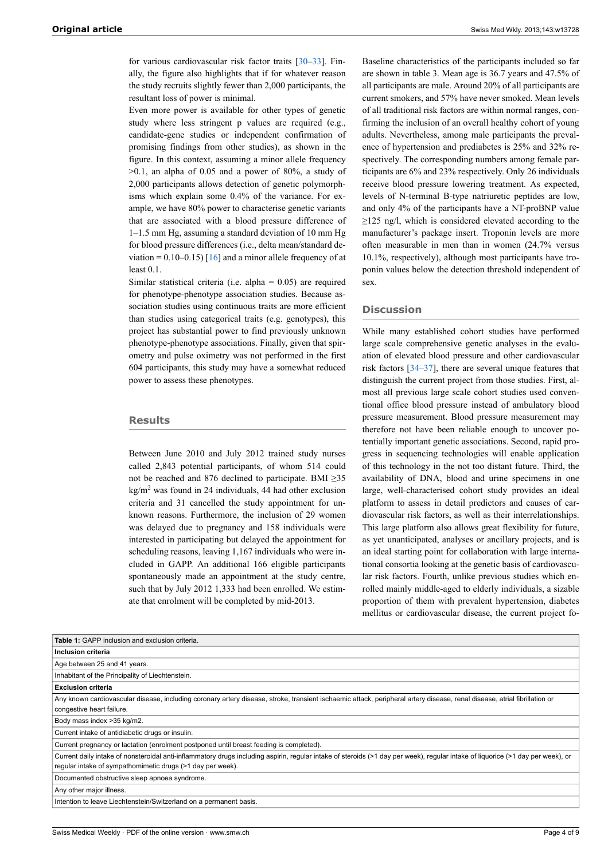for various cardiovascular risk factor traits [\[30](#page-6-20)–[33\]](#page-6-21). Finally, the figure also highlights that if for whatever reason the study recruits slightly fewer than 2,000 participants, the resultant loss of power is minimal.

Even more power is available for other types of genetic study where less stringent p values are required (e.g., candidate-gene studies or independent confirmation of promising findings from other studies), as shown in the figure. In this context, assuming a minor allele frequency  $>0.1$ , an alpha of 0.05 and a power of 80%, a study of 2,000 participants allows detection of genetic polymorphisms which explain some 0.4% of the variance. For example, we have 80% power to characterise genetic variants that are associated with a blood pressure difference of 1–1.5 mm Hg, assuming a standard deviation of 10 mm Hg for blood pressure differences (i.e., delta mean/standard deviation =  $0.10-0.15$  [\[16](#page-6-8)] and a minor allele frequency of at least 0.1

Similar statistical criteria (i.e. alpha = 0.05) are required for phenotype-phenotype association studies. Because association studies using continuous traits are more efficient than studies using categorical traits (e.g. genotypes), this project has substantial power to find previously unknown phenotype-phenotype associations. Finally, given that spirometry and pulse oximetry was not performed in the first 604 participants, this study may have a somewhat reduced power to assess these phenotypes.

#### **Results**

Between June 2010 and July 2012 trained study nurses called 2,843 potential participants, of whom 514 could not be reached and 876 declined to participate. BMI ≥35  $kg/m<sup>2</sup>$  was found in 24 individuals, 44 had other exclusion criteria and 31 cancelled the study appointment for unknown reasons. Furthermore, the inclusion of 29 women was delayed due to pregnancy and 158 individuals were interested in participating but delayed the appointment for scheduling reasons, leaving 1,167 individuals who were included in GAPP. An additional 166 eligible participants spontaneously made an appointment at the study centre, such that by July 2012 1,333 had been enrolled. We estimate that enrolment will be completed by mid-2013.

Baseline characteristics of the participants included so far are shown in table 3. Mean age is 36.7 years and 47.5% of all participants are male. Around 20% of all participants are current smokers, and 57% have never smoked. Mean levels of all traditional risk factors are within normal ranges, confirming the inclusion of an overall healthy cohort of young adults. Nevertheless, among male participants the prevalence of hypertension and prediabetes is 25% and 32% respectively. The corresponding numbers among female participants are 6% and 23% respectively. Only 26 individuals receive blood pressure lowering treatment. As expected, levels of N-terminal B-type natriuretic peptides are low, and only 4% of the participants have a NT-proBNP value  $\geq$ 125 ng/l, which is considered elevated according to the manufacturer's package insert. Troponin levels are more often measurable in men than in women (24.7% versus 10.1%, respectively), although most participants have troponin values below the detection threshold independent of sex.

#### **Discussion**

While many established cohort studies have performed large scale comprehensive genetic analyses in the evaluation of elevated blood pressure and other cardiovascular risk factors [\[34](#page-6-22)–[37\]](#page-6-23), there are several unique features that distinguish the current project from those studies. First, almost all previous large scale cohort studies used conventional office blood pressure instead of ambulatory blood pressure measurement. Blood pressure measurement may therefore not have been reliable enough to uncover potentially important genetic associations. Second, rapid progress in sequencing technologies will enable application of this technology in the not too distant future. Third, the availability of DNA, blood and urine specimens in one large, well-characterised cohort study provides an ideal platform to assess in detail predictors and causes of cardiovascular risk factors, as well as their interrelationships. This large platform also allows great flexibility for future, as yet unanticipated, analyses or ancillary projects, and is an ideal starting point for collaboration with large international consortia looking at the genetic basis of cardiovascular risk factors. Fourth, unlike previous studies which enrolled mainly middle-aged to elderly individuals, a sizable proportion of them with prevalent hypertension, diabetes mellitus or cardiovascular disease, the current project fo-

| <b>Table 1:</b> GAPP inclusion and exclusion criteria.                                                                                                                                                                                        |
|-----------------------------------------------------------------------------------------------------------------------------------------------------------------------------------------------------------------------------------------------|
| Inclusion criteria                                                                                                                                                                                                                            |
| Age between 25 and 41 years.                                                                                                                                                                                                                  |
| Inhabitant of the Principality of Liechtenstein.                                                                                                                                                                                              |
| <b>Exclusion criteria</b>                                                                                                                                                                                                                     |
| Any known cardiovascular disease, including coronary artery disease, stroke, transient ischaemic attack, peripheral artery disease, renal disease, atrial fibrillation or<br>congestive heart failure.                                        |
| Body mass index > 35 kg/m2.                                                                                                                                                                                                                   |
| Current intake of antidiabetic drugs or insulin.                                                                                                                                                                                              |
| Current pregnancy or lactation (enrolment postponed until breast feeding is completed).                                                                                                                                                       |
| Current daily intake of nonsteroidal anti-inflammatory drugs including aspirin, regular intake of steroids (>1 day per week), regular intake of liquorice (>1 day per week), or<br>regular intake of sympathomimetic drugs (>1 day per week). |
| Documented obstructive sleep apnoea syndrome.                                                                                                                                                                                                 |
| Any other major illness.                                                                                                                                                                                                                      |
| Intention to leave Liechtenstein/Switzerland on a permanent basis.                                                                                                                                                                            |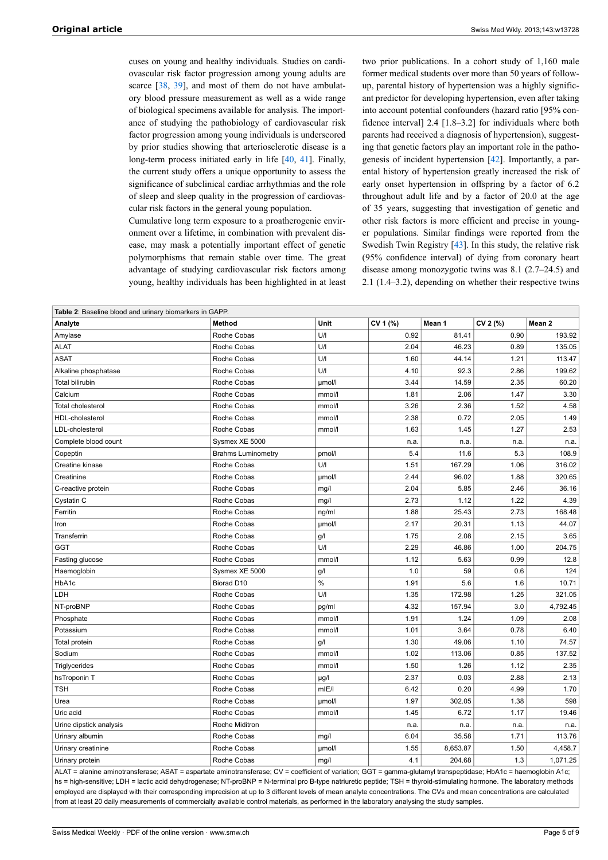cuses on young and healthy individuals. Studies on cardiovascular risk factor progression among young adults are scarce [\[38](#page-6-24), [39\]](#page-6-25), and most of them do not have ambulatory blood pressure measurement as well as a wide range of biological specimens available for analysis. The importance of studying the pathobiology of cardiovascular risk factor progression among young individuals is underscored by prior studies showing that arteriosclerotic disease is a long-term process initiated early in life [[40,](#page-6-26) [41](#page-6-27)]. Finally, the current study offers a unique opportunity to assess the significance of subclinical cardiac arrhythmias and the role of sleep and sleep quality in the progression of cardiovascular risk factors in the general young population.

Cumulative long term exposure to a proatherogenic environment over a lifetime, in combination with prevalent disease, may mask a potentially important effect of genetic polymorphisms that remain stable over time. The great advantage of studying cardiovascular risk factors among young, healthy individuals has been highlighted in at least

two prior publications. In a cohort study of 1,160 male former medical students over more than 50 years of followup, parental history of hypertension was a highly significant predictor for developing hypertension, even after taking into account potential confounders (hazard ratio [95% confidence interval] 2.4 [1.8–3.2] for individuals where both parents had received a diagnosis of hypertension), suggesting that genetic factors play an important role in the pathogenesis of incident hypertension [\[42](#page-6-28)]. Importantly, a parental history of hypertension greatly increased the risk of early onset hypertension in offspring by a factor of 6.2 throughout adult life and by a factor of 20.0 at the age of 35 years, suggesting that investigation of genetic and other risk factors is more efficient and precise in younger populations. Similar findings were reported from the Swedish Twin Registry [\[43](#page-7-0)]. In this study, the relative risk (95% confidence interval) of dying from coronary heart disease among monozygotic twins was 8.1 (2.7–24.5) and 2.1 (1.4–3.2), depending on whether their respective twins

| <b>Table 2:</b> Baseline blood and urinary biomarkers in GAPP.                                                                                                   |                           |        |          |          |          |          |
|------------------------------------------------------------------------------------------------------------------------------------------------------------------|---------------------------|--------|----------|----------|----------|----------|
| Analyte                                                                                                                                                          | <b>Method</b>             | Unit   | CV 1 (%) | Mean 1   | CV 2 (%) | Mean 2   |
| Amylase                                                                                                                                                          | Roche Cobas               | U/I    | 0.92     | 81.41    | 0.90     | 193.92   |
| <b>ALAT</b>                                                                                                                                                      | Roche Cobas               | U/I    | 2.04     | 46.23    | 0.89     | 135.05   |
| <b>ASAT</b>                                                                                                                                                      | Roche Cobas               | U/I    | 1.60     | 44.14    | 1.21     | 113.47   |
| Alkaline phosphatase                                                                                                                                             | Roche Cobas               | U/I    | 4.10     | 92.3     | 2.86     | 199.62   |
| Total bilirubin                                                                                                                                                  | Roche Cobas               | umol/l | 3.44     | 14.59    | 2.35     | 60.20    |
| Calcium                                                                                                                                                          | Roche Cobas               | mmol/l | 1.81     | 2.06     | 1.47     | 3.30     |
| <b>Total cholesterol</b>                                                                                                                                         | Roche Cobas               | mmol/l | 3.26     | 2.36     | 1.52     | 4.58     |
| HDL-cholesterol                                                                                                                                                  | Roche Cobas               | mmol/l | 2.38     | 0.72     | 2.05     | 1.49     |
| LDL-cholesterol                                                                                                                                                  | Roche Cobas               | mmol/l | 1.63     | 1.45     | 1.27     | 2.53     |
| Complete blood count                                                                                                                                             | Sysmex XE 5000            |        | n.a.     | n.a.     | n.a.     | n.a.     |
| Copeptin                                                                                                                                                         | <b>Brahms Luminometry</b> | pmol/l | 5.4      | 11.6     | 5.3      | 108.9    |
| Creatine kinase                                                                                                                                                  | Roche Cobas               | U/I    | 1.51     | 167.29   | 1.06     | 316.02   |
| Creatinine                                                                                                                                                       | Roche Cobas               | µmol/l | 2.44     | 96.02    | 1.88     | 320.65   |
| C-reactive protein                                                                                                                                               | Roche Cobas               | mg/l   | 2.04     | 5.85     | 2.46     | 36.16    |
| Cystatin C                                                                                                                                                       | Roche Cobas               | mg/l   | 2.73     | 1.12     | 1.22     | 4.39     |
| Ferritin                                                                                                                                                         | Roche Cobas               | ng/ml  | 1.88     | 25.43    | 2.73     | 168.48   |
| Iron                                                                                                                                                             | Roche Cobas               | umol/l | 2.17     | 20.31    | 1.13     | 44.07    |
| Transferrin                                                                                                                                                      | Roche Cobas               | g/l    | 1.75     | 2.08     | 2.15     | 3.65     |
| GGT                                                                                                                                                              | Roche Cobas               | U/I    | 2.29     | 46.86    | 1.00     | 204.75   |
| Fasting glucose                                                                                                                                                  | Roche Cobas               | mmol/l | 1.12     | 5.63     | 0.99     | 12.8     |
| Haemoglobin                                                                                                                                                      | Sysmex XE 5000            | g/l    | 1.0      | 59       | 0.6      | 124      |
| HbA1c                                                                                                                                                            | Biorad D10                | $\%$   | 1.91     | 5.6      | 1.6      | 10.71    |
| LDH                                                                                                                                                              | Roche Cobas               | U/I    | 1.35     | 172.98   | 1.25     | 321.05   |
| NT-proBNP                                                                                                                                                        | Roche Cobas               | pg/ml  | 4.32     | 157.94   | 3.0      | 4,792.45 |
| Phosphate                                                                                                                                                        | Roche Cobas               | mmol/l | 1.91     | 1.24     | 1.09     | 2.08     |
| Potassium                                                                                                                                                        | Roche Cobas               | mmol/l | 1.01     | 3.64     | 0.78     | 6.40     |
| Total protein                                                                                                                                                    | Roche Cobas               | g/l    | 1.30     | 49.06    | 1.10     | 74.57    |
| Sodium                                                                                                                                                           | Roche Cobas               | mmol/l | 1.02     | 113.06   | 0.85     | 137.52   |
| Triglycerides                                                                                                                                                    | Roche Cobas               | mmol/l | 1.50     | 1.26     | 1.12     | 2.35     |
| hsTroponin T                                                                                                                                                     | Roche Cobas               | µg/l   | 2.37     | 0.03     | 2.88     | 2.13     |
| <b>TSH</b>                                                                                                                                                       | Roche Cobas               | mIE/I  | 6.42     | 0.20     | 4.99     | 1.70     |
| Urea                                                                                                                                                             | Roche Cobas               | µmol/l | 1.97     | 302.05   | 1.38     | 598      |
| Uric acid                                                                                                                                                        | Roche Cobas               | mmol/l | 1.45     | 6.72     | 1.17     | 19.46    |
| Urine dipstick analysis                                                                                                                                          | Roche Miditron            |        | n.a.     | n.a.     | n.a.     | n.a.     |
| Urinary albumin                                                                                                                                                  | Roche Cobas               | mg/l   | 6.04     | 35.58    | 1.71     | 113.76   |
| Urinary creatinine                                                                                                                                               | Roche Cobas               | µmol/l | 1.55     | 8,653.87 | 1.50     | 4,458.7  |
| Urinary protein                                                                                                                                                  | Roche Cobas               | mg/l   | 4.1      | 204.68   | 1.3      | 1,071.25 |
| ALAT = alanine aminotransferase; ASAT = aspartate aminotransferase; CV = coefficient of variation; GGT = gamma-glutamyl transpeptidase; HbA1c = haemoglobin A1c; |                           |        |          |          |          |          |

hs = high-sensitive; LDH = lactic acid dehydrogenase; NT-proBNP = N-terminal pro B-type natriuretic peptide; TSH = thyroid-stimulating hormone. The laboratory methods employed are displayed with their corresponding imprecision at up to 3 different levels of mean analyte concentrations. The CVs and mean concentrations are calculated from at least 20 daily measurements of commercially available control materials, as performed in the laboratory analysing the study samples.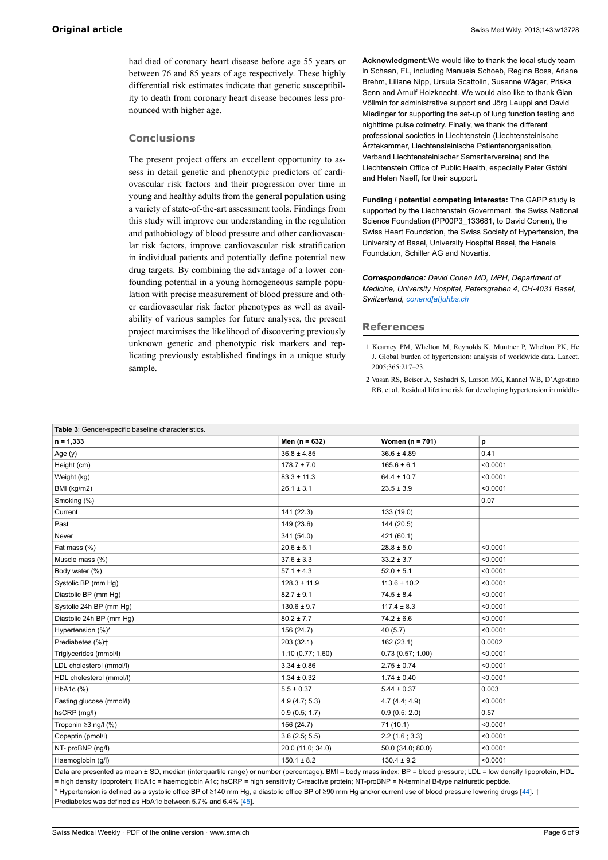had died of coronary heart disease before age 55 years or between 76 and 85 years of age respectively. These highly differential risk estimates indicate that genetic susceptibility to death from coronary heart disease becomes less pronounced with higher age.

#### **Conclusions**

The present project offers an excellent opportunity to assess in detail genetic and phenotypic predictors of cardiovascular risk factors and their progression over time in young and healthy adults from the general population using a variety of state-of-the-art assessment tools. Findings from this study will improve our understanding in the regulation and pathobiology of blood pressure and other cardiovascular risk factors, improve cardiovascular risk stratification in individual patients and potentially define potential new drug targets. By combining the advantage of a lower confounding potential in a young homogeneous sample population with precise measurement of blood pressure and other cardiovascular risk factor phenotypes as well as availability of various samples for future analyses, the present project maximises the likelihood of discovering previously unknown genetic and phenotypic risk markers and replicating previously established findings in a unique study sample.

**Acknowledgment:**We would like to thank the local study team in Schaan, FL, including Manuela Schoeb, Regina Boss, Ariane Brehm, Liliane Nipp, Ursula Scattolin, Susanne Wäger, Priska Senn and Arnulf Holzknecht. We would also like to thank Gian Völlmin for administrative support and Jörg Leuppi and David Miedinger for supporting the set-up of lung function testing and nighttime pulse oximetry. Finally, we thank the different professional societies in Liechtenstein (Liechtensteinische Ärztekammer, Liechtensteinische Patientenorganisation, Verband Liechtensteinischer Samaritervereine) and the Liechtenstein Office of Public Health, especially Peter Gstöhl and Helen Naeff, for their support.

**Funding / potential competing interests:** The GAPP study is supported by the Liechtenstein Government, the Swiss National Science Foundation (PP00P3\_133681, to David Conen), the Swiss Heart Foundation, the Swiss Society of Hypertension, the University of Basel, University Hospital Basel, the Hanela Foundation, Schiller AG and Novartis.

*Correspondence: David Conen MD, MPH, Department of Medicine, University Hospital, Petersgraben 4, CH-4031 Basel, Switzerland, [conend\[at\]uhbs.ch](mailto:conend[at]uhbs.ch )*

#### **References**

- 1 Kearney PM, Whelton M, Reynolds K, Muntner P, Whelton PK, He J. Global burden of hypertension: analysis of worldwide data. Lancet. 2005;365:217–23.
- 2 Vasan RS, Beiser A, Seshadri S, Larson MG, Kannel WB, D'Agostino RB, et al. Residual lifetime risk for developing hypertension in middle-

<span id="page-5-1"></span><span id="page-5-0"></span>

| Table 3: Gender-specific baseline characteristics.                                                                                                                   |                   |                     |          |  |  |  |  |
|----------------------------------------------------------------------------------------------------------------------------------------------------------------------|-------------------|---------------------|----------|--|--|--|--|
| $n = 1,333$                                                                                                                                                          | Men ( $n = 632$ ) | Women ( $n = 701$ ) | р        |  |  |  |  |
| Age $(y)$                                                                                                                                                            | $36.8 \pm 4.85$   | $36.6 \pm 4.89$     | 0.41     |  |  |  |  |
| Height (cm)                                                                                                                                                          | $178.7 \pm 7.0$   | $165.6 \pm 6.1$     | < 0.0001 |  |  |  |  |
| Weight (kg)                                                                                                                                                          | $83.3 \pm 11.3$   | $64.4 \pm 10.7$     | < 0.0001 |  |  |  |  |
| BMI (kg/m2)                                                                                                                                                          | $26.1 \pm 3.1$    | $23.5 \pm 3.9$      | < 0.0001 |  |  |  |  |
| Smoking (%)                                                                                                                                                          |                   |                     | 0.07     |  |  |  |  |
| Current                                                                                                                                                              | 141 (22.3)        | 133 (19.0)          |          |  |  |  |  |
| Past                                                                                                                                                                 | 149 (23.6)        | 144 (20.5)          |          |  |  |  |  |
| Never                                                                                                                                                                | 341 (54.0)        | 421 (60.1)          |          |  |  |  |  |
| Fat mass (%)                                                                                                                                                         | $20.6 \pm 5.1$    | $28.8 \pm 5.0$      | < 0.0001 |  |  |  |  |
| Muscle mass (%)                                                                                                                                                      | $37.6 \pm 3.3$    | $33.2 \pm 3.7$      | < 0.0001 |  |  |  |  |
| Body water (%)                                                                                                                                                       | $57.1 \pm 4.3$    | $52.0 \pm 5.1$      | < 0.0001 |  |  |  |  |
| Systolic BP (mm Hq)                                                                                                                                                  | $128.3 \pm 11.9$  | $113.6 \pm 10.2$    | < 0.0001 |  |  |  |  |
| Diastolic BP (mm Hq)                                                                                                                                                 | $82.7 \pm 9.1$    | $74.5 \pm 8.4$      | < 0.0001 |  |  |  |  |
| Systolic 24h BP (mm Hg)                                                                                                                                              | $130.6 \pm 9.7$   | $117.4 \pm 8.3$     | < 0.0001 |  |  |  |  |
| Diastolic 24h BP (mm Hq)                                                                                                                                             | $80.2 \pm 7.7$    | $74.2 \pm 6.6$      | < 0.0001 |  |  |  |  |
| Hypertension (%)*                                                                                                                                                    | 156 (24.7)        | 40 (5.7)            | < 0.0001 |  |  |  |  |
| Prediabetes (%)+                                                                                                                                                     | 203 (32.1)        | 162 (23.1)          | 0.0002   |  |  |  |  |
| Triglycerides (mmol/l)                                                                                                                                               | 1.10(0.77; 1.60)  | 0.73(0.57; 1.00)    | < 0.0001 |  |  |  |  |
| LDL cholesterol (mmol/l)                                                                                                                                             | $3.34 \pm 0.86$   | $2.75 \pm 0.74$     | < 0.0001 |  |  |  |  |
| HDL cholesterol (mmol/l)                                                                                                                                             | $1.34 \pm 0.32$   | $1.74 \pm 0.40$     | < 0.0001 |  |  |  |  |
| HbA1c (%)                                                                                                                                                            | $5.5 \pm 0.37$    | $5.44 \pm 0.37$     | 0.003    |  |  |  |  |
| Fasting glucose (mmol/l)                                                                                                                                             | 4.9(4.7; 5.3)     | 4.7(4.4; 4.9)       | < 0.0001 |  |  |  |  |
| hsCRP (mg/l)                                                                                                                                                         | 0.9(0.5; 1.7)     | 0.9(0.5; 2.0)       | 0.57     |  |  |  |  |
| Troponin $\geq$ 3 ng/l (%)                                                                                                                                           | 156 (24.7)        | 71(10.1)            | < 0.0001 |  |  |  |  |
| Copeptin (pmol/l)                                                                                                                                                    | 3.6(2.5; 5.5)     | 2.2(1.6; 3.3)       | < 0.0001 |  |  |  |  |
| NT- proBNP (ng/l)                                                                                                                                                    | 20.0 (11.0; 34.0) | 50.0 (34.0; 80.0)   | < 0.0001 |  |  |  |  |
| Haemoglobin (g/l)                                                                                                                                                    | $150.1 \pm 8.2$   | $130.4 \pm 9.2$     | < 0.0001 |  |  |  |  |
| Data are presented as mean ± SD, median (interquartile range) or number (percentage). BMI = body mass index; BP = blood pressure; LDL = low density lipoprotein, HDL |                   |                     |          |  |  |  |  |

= high density lipoprotein; HbA1c = haemoglobin A1c; hsCRP = high sensitivity C-reactive protein; NT-proBNP = N-terminal B-type natriuretic peptide. \* Hypertension is defined as a systolic office BP of ≥140 mm Hg, a diastolic office BP of ≥90 mm Hg and/or current use of blood pressure lowering drugs [[44](#page-7-1)]. † Prediabetes was defined as HbA1c between 5.7% and 6.4% [\[45\]](#page-7-2).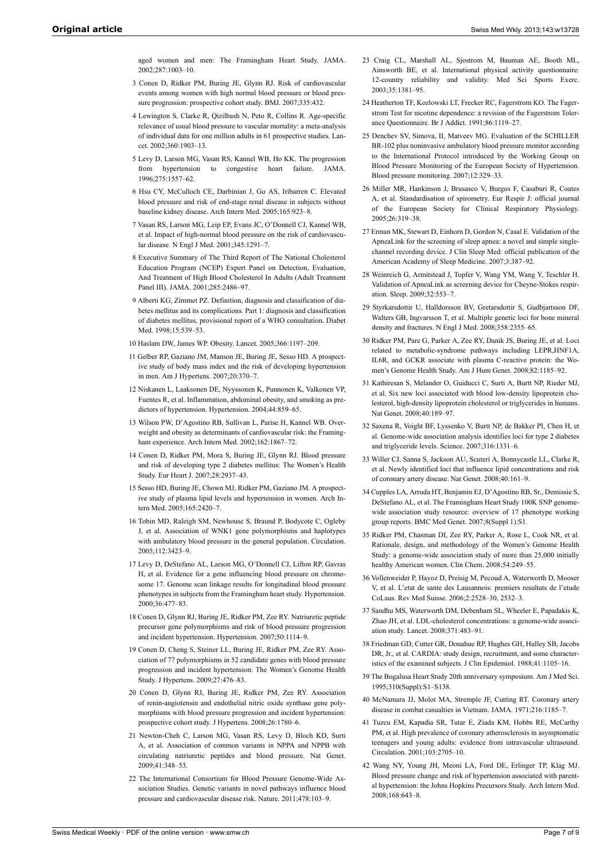aged women and men: The Framingham Heart Study. JAMA. 2002;287:1003–10.

- <span id="page-6-13"></span><span id="page-6-0"></span>3 Conen D, Ridker PM, Buring JE, Glynn RJ. Risk of cardiovascular events among women with high normal blood pressure or blood pressure progression: prospective cohort study. BMJ. 2007;335:432.
- <span id="page-6-15"></span><span id="page-6-14"></span><span id="page-6-2"></span>4 Lewington S, Clarke R, Qizilbash N, Peto R, Collins R. Age-specific relevance of usual blood pressure to vascular mortality: a meta-analysis of individual data for one million adults in 61 prospective studies. Lancet. 2002;360:1903–13.
- 5 Levy D, Larson MG, Vasan RS, Kannel WB, Ho KK. The progression from hypertension to congestive heart failure. JAMA. 1996;275:1557–62.
- <span id="page-6-16"></span><span id="page-6-1"></span>6 Hsu CY, McCulloch CE, Darbinian J, Go AS, Iribarren C. Elevated blood pressure and risk of end-stage renal disease in subjects without baseline kidney disease. Arch Intern Med. 2005;165:923–8.
- <span id="page-6-17"></span><span id="page-6-3"></span>7 Vasan RS, Larson MG, Leip EP, Evans JC, O'Donnell CJ, Kannel WB, et al. Impact of high-normal blood pressure on the risk of cardiovascular disease. N Engl J Med. 2001;345:1291–7.
- <span id="page-6-18"></span><span id="page-6-4"></span>8 Executive Summary of The Third Report of The National Cholesterol Education Program (NCEP) Expert Panel on Detection, Evaluation, And Treatment of High Blood Cholesterol In Adults (Adult Treatment Panel III). JAMA. 2001;285:2486–97.
- <span id="page-6-19"></span>9 Alberti KG, Zimmet PZ. Definition, diagnosis and classification of diabetes mellitus and its complications. Part 1: diagnosis and classification of diabetes mellitus, provisional report of a WHO consultation. Diabet Med. 1998;15:539–53.
- 10 Haslam DW, James WP. Obesity. Lancet. 2005;366:1197–209.
- <span id="page-6-20"></span><span id="page-6-6"></span><span id="page-6-5"></span>11 Gelber RP, Gaziano JM, Manson JE, Buring JE, Sesso HD. A prospective study of body mass index and the risk of developing hypertension in men. Am J Hypertens. 2007;20:370–7.
- 12 Niskanen L, Laaksonen DE, Nyyssonen K, Punnonen K, Valkonen VP, Fuentes R, et al. Inflammation, abdominal obesity, and smoking as predictors of hypertension. Hypertension. 2004;44:859–65.
- 13 Wilson PW, D'Agostino RB, Sullivan L, Parise H, Kannel WB. Overweight and obesity as determinants of cardiovascular risk: the Framingham experience. Arch Intern Med. 2002;162:1867-72.
- <span id="page-6-21"></span>14 Conen D, Ridker PM, Mora S, Buring JE, Glynn RJ. Blood pressure and risk of developing type 2 diabetes mellitus: The Women's Health Study. Eur Heart J. 2007;28:2937–43.
- <span id="page-6-22"></span><span id="page-6-7"></span>15 Sesso HD, Buring JE, Chown MJ, Ridker PM, Gaziano JM. A prospective study of plasma lipid levels and hypertension in women. Arch Intern Med. 2005;165:2420-7.
- <span id="page-6-8"></span>16 Tobin MD, Raleigh SM, Newhouse S, Braund P, Bodycote C, Ogleby J, et al. Association of WNK1 gene polymorphisms and haplotypes with ambulatory blood pressure in the general population. Circulation. 2005;112:3423–9.
- <span id="page-6-9"></span>17 Levy D, DeStefano AL, Larson MG, O'Donnell CJ, Lifton RP, Gavras H, et al. Evidence for a gene influencing blood pressure on chromosome 17. Genome scan linkage results for longitudinal blood pressure phenotypes in subjects from the Framingham heart study. Hypertension. 2000;36:477–83.
- <span id="page-6-23"></span><span id="page-6-10"></span>18 Conen D, Glynn RJ, Buring JE, Ridker PM, Zee RY. Natriuretic peptide precursor gene polymorphisms and risk of blood pressure progression and incident hypertension. Hypertension. 2007;50:1114–9.
- <span id="page-6-24"></span>19 Conen D, Cheng S, Steiner LL, Buring JE, Ridker PM, Zee RY. Association of 77 polymorphisms in 52 candidate genes with blood pressure progression and incident hypertension: The Women's Genome Health Study. J Hypertens. 2009;27:476–83.
- <span id="page-6-26"></span><span id="page-6-25"></span>20 Conen D, Glynn RJ, Buring JE, Ridker PM, Zee RY. Association of renin-angiotensin and endothelial nitric oxide synthase gene polymorphisms with blood pressure progression and incident hypertension: prospective cohort study. J Hypertens. 2008;26:1780–6.
- <span id="page-6-27"></span><span id="page-6-11"></span>21 Newton-Cheh C, Larson MG, Vasan RS, Levy D, Bloch KD, Surti A, et al. Association of common variants in NPPA and NPPB with circulating natriuretic peptides and blood pressure. Nat Genet. 2009;41:348–53.
- <span id="page-6-28"></span><span id="page-6-12"></span>22 The International Consortium for Blood Pressure Genome-Wide Association Studies. Genetic variants in novel pathways influence blood pressure and cardiovascular disease risk. Nature. 2011;478:103–9.
- 23 Craig CL, Marshall AL, Sjostrom M, Bauman AE, Booth ML, Ainsworth BE, et al. International physical activity questionnaire: 12-country reliability and validity. Med Sci Sports Exerc. 2003;35:1381–95.
- 24 Heatherton TF, Kozlowski LT, Frecker RC, Fagerstrom KO. The Fagerstrom Test for nicotine dependence: a revision of the Fagerstrom Tolerance Questionnaire. Br J Addict. 1991;86:1119–27.
- 25 Denchev SV, Simova, II, Matveev MG. Evaluation of the SCHILLER BR-102 plus noninvasive ambulatory blood pressure monitor according to the International Protocol introduced by the Working Group on Blood Pressure Monitoring of the European Society of Hypertension. Blood pressure monitoring. 2007;12:329–33.
- 26 Miller MR, Hankinson J, Brusasco V, Burgos F, Casaburi R, Coates A, et al. Standardisation of spirometry. Eur Respir J: official journal of the European Society for Clinical Respiratory Physiology. 2005;26:319–38.
- 27 Erman MK, Stewart D, Einhorn D, Gordon N, Casal E. Validation of the ApneaLink for the screening of sleep apnea: a novel and simple singlechannel recording device. J Clin Sleep Med: official publication of the American Academy of Sleep Medicine. 2007;3:387–92.
- 28 Weinreich G, Armitstead J, Topfer V, Wang YM, Wang Y, Teschler H. Validation of ApneaLink as screening device for Cheyne-Stokes respiration. Sleep. 2009;32:553–7.
- 29 Styrkarsdottir U, Halldorsson BV, Gretarsdottir S, Gudbjartsson DF, Walters GB, Ingvarsson T, et al. Multiple genetic loci for bone mineral density and fractures. N Engl J Med. 2008;358:2355–65.
- 30 Ridker PM, Pare G, Parker A, Zee RY, Danik JS, Buring JE, et al. Loci related to metabolic-syndrome pathways including LEPR,HNF1A, IL6R, and GCKR associate with plasma C-reactive protein: the Women's Genome Health Study. Am J Hum Genet. 2008;82:1185–92.
- 31 Kathiresan S, Melander O, Guiducci C, Surti A, Burtt NP, Rieder MJ, et al. Six new loci associated with blood low-density lipoprotein cholesterol, high-density lipoprotein cholesterol or triglycerides in humans. Nat Genet. 2008;40:189–97.
- 32 Saxena R, Voight BF, Lyssenko V, Burtt NP, de Bakker PI, Chen H, et al. Genome-wide association analysis identifies loci for type 2 diabetes and triglyceride levels. Science. 2007;316:1331–6.
- 33 Willer CJ, Sanna S, Jackson AU, Scuteri A, Bonnycastle LL, Clarke R, et al. Newly identified loci that influence lipid concentrations and risk of coronary artery disease. Nat Genet. 2008;40:161–9.
- 34 Cupples LA, Arruda HT, Benjamin EJ, D'Agostino RB, Sr., Demissie S, DeStefano AL, et al. The Framingham Heart Study 100K SNP genomewide association study resource: overview of 17 phenotype working group reports. BMC Med Genet. 2007;8(Suppl 1):S1.
- 35 Ridker PM, Chasman DI, Zee RY, Parker A, Rose L, Cook NR, et al. Rationale, design, and methodology of the Women's Genome Health Study: a genome-wide association study of more than 25,000 initially healthy American women. Clin Chem. 2008;54:249–55.
- 36 Vollenweider P, Hayoz D, Preisig M, Pecoud A, Waterworth D, Mooser V, et al. L'etat de sante des Lausannois: premiers resultats de l'etude CoLaus. Rev Med Suisse. 2006;2:2528–30, 2532–3.
- 37 Sandhu MS, Waterworth DM, Debenham SL, Wheeler E, Papadakis K, Zhao JH, et al. LDL-cholesterol concentrations: a genome-wide association study. Lancet. 2008;371:483–91.
- 38 Friedman GD, Cutter GR, Donahue RP, Hughes GH, Hulley SB, Jacobs DR, Jr., et al. CARDIA: study design, recruitment, and some characteristics of the examined subjects. J Clin Epidemiol. 1988;41:1105–16.
- 39 The Bogalusa Heart Study 20th anniversary symposium. Am J Med Sci. 1995;310(Suppl):S1–S138.
- 40 McNamara JJ, Molot MA, Stremple JF, Cutting RT. Coronary artery disease in combat casualties in Vietnam. JAMA. 1971;216:1185–7.
- 41 Tuzcu EM, Kapadia SR, Tutar E, Ziada KM, Hobbs RE, McCarthy PM, et al. High prevalence of coronary atherosclerosis in asymptomatic teenagers and young adults: evidence from intravascular ultrasound. Circulation. 2001;103:2705–10.
- 42 Wang NY, Young JH, Meoni LA, Ford DE, Erlinger TP, Klag MJ. Blood pressure change and risk of hypertension associated with parental hypertension: the Johns Hopkins Precursors Study. Arch Intern Med. 2008;168:643–8.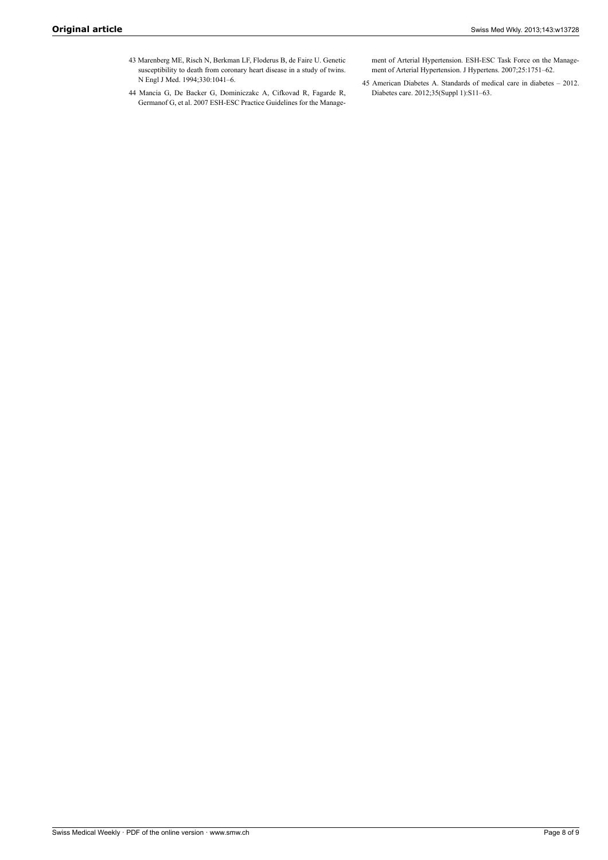- <span id="page-7-0"></span>43 Marenberg ME, Risch N, Berkman LF, Floderus B, de Faire U. Genetic susceptibility to death from coronary heart disease in a study of twins. N Engl J Med. 1994;330:1041–6.
- <span id="page-7-2"></span><span id="page-7-1"></span>44 Mancia G, De Backer G, Dominiczakc A, Cifkovad R, Fagarde R, Germanof G, et al. 2007 ESH-ESC Practice Guidelines for the Manage-

ment of Arterial Hypertension. ESH-ESC Task Force on the Management of Arterial Hypertension. J Hypertens. 2007;25:1751–62.

45 American Diabetes A. Standards of medical care in diabetes – 2012. Diabetes care. 2012;35(Suppl 1):S11–63.